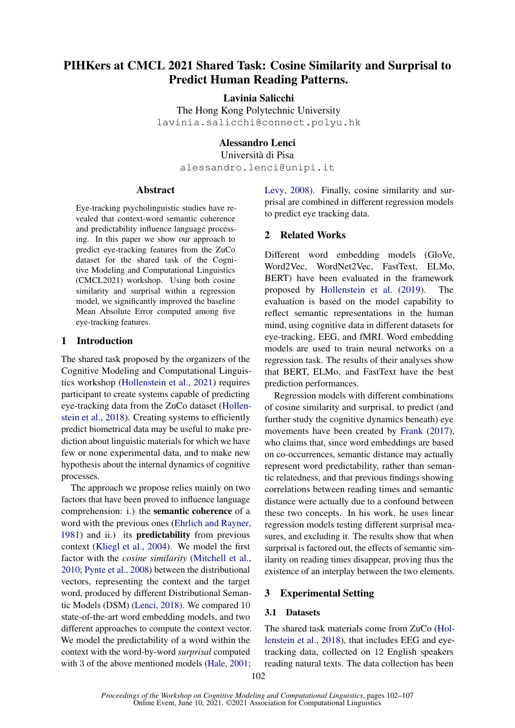# PIHKers at CMCL 2021 Shared Task: Cosine Similarity and Surprisal to Predict Human Reading Patterns.

Lavinia Salicchi

The Hong Kong Polytechnic University lavinia.salicchi@connect.polyu.hk

# Alessandro Lenci

Università di Pisa alessandro.lenci@unipi.it

#### Abstract

Eye-tracking psycholinguistic studies have revealed that context-word semantic coherence and predictability influence language processing. In this paper we show our approach to predict eye-tracking features from the ZuCo dataset for the shared task of the Cognitive Modeling and Computational Linguistics (CMCL2021) workshop. Using both cosine similarity and surprisal within a regression model, we significantly improved the baseline Mean Absolute Error computed among five eye-tracking features.

## 1 Introduction

The shared task proposed by the organizers of the Cognitive Modeling and Computational Linguistics workshop [\(Hollenstein et al.,](#page-4-0) [2021\)](#page-4-0) requires participant to create systems capable of predicting eye-tracking data from the ZuCo dataset [\(Hollen](#page-4-1)[stein et al.,](#page-4-1) [2018\)](#page-4-1). Creating systems to efficiently predict biometrical data may be useful to make prediction about linguistic materials for which we have few or none experimental data, and to make new hypothesis about the internal dynamics of cognitive processes.

The approach we propose relies mainly on two factors that have been proved to influence language comprehension: i.) the semantic coherence of a word with the previous ones [\(Ehrlich and Rayner,](#page-4-2) [1981\)](#page-4-2) and ii.) its predictability from previous context [\(Kliegl et al.,](#page-4-3) [2004\)](#page-4-3). We model the first factor with the *cosine similarity* [\(Mitchell et al.,](#page-4-4) [2010;](#page-4-4) [Pynte et al.,](#page-5-0) [2008\)](#page-5-0) between the distributional vectors, representing the context and the target word, produced by different Distributional Semantic Models (DSM) [\(Lenci,](#page-4-5) [2018\)](#page-4-5). We compared 10 state-of-the-art word embedding models, and two different approaches to compute the context vector. We model the predictability of a word within the context with the word-by-word *surprisal* computed with 3 of the above mentioned models [\(Hale,](#page-4-6) [2001;](#page-4-6) [Levy,](#page-4-7) [2008\)](#page-4-7). Finally, cosine similarity and surprisal are combined in different regression models to predict eye tracking data.

## 2 Related Works

Different word embedding models (GloVe, Word2Vec, WordNet2Vec, FastText, ELMo, BERT) have been evaluated in the framework proposed by [Hollenstein et al.](#page-4-8) [\(2019\)](#page-4-8). The evaluation is based on the model capability to reflect semantic representations in the human mind, using cognitive data in different datasets for eye-tracking, EEG, and fMRI. Word embedding models are used to train neural networks on a regression task. The results of their analyses show that BERT, ELMo, and FastText have the best prediction performances.

Regression models with different combinations of cosine similarity and surprisal, to predict (and further study the cognitive dynamics beneath) eye movements have been created by [Frank](#page-4-9) [\(2017\)](#page-4-9), who claims that, since word embeddings are based on co-occurrences, semantic distance may actually represent word predictability, rather than semantic relatedness, and that previous findings showing correlations between reading times and semantic distance were actually due to a confound between these two concepts. In his work, he uses linear regression models testing different surprisal measures, and excluding it. The results show that when surprisal is factored out, the effects of semantic similarity on reading times disappear, proving thus the existence of an interplay between the two elements.

# 3 Experimental Setting

#### 3.1 Datasets

The shared task materials come from ZuCo [\(Hol](#page-4-1)[lenstein et al.,](#page-4-1) [2018\)](#page-4-1), that includes EEG and eyetracking data, collected on 12 English speakers reading natural texts. The data collection has been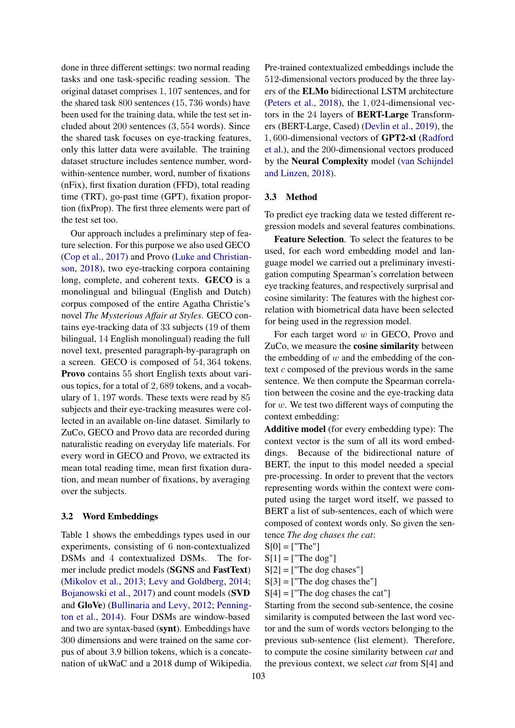done in three different settings: two normal reading tasks and one task-specific reading session. The original dataset comprises 1, 107 sentences, and for the shared task 800 sentences (15, 736 words) have been used for the training data, while the test set included about 200 sentences (3, 554 words). Since the shared task focuses on eye-tracking features, only this latter data were available. The training dataset structure includes sentence number, wordwithin-sentence number, word, number of fixations (nFix), first fixation duration (FFD), total reading time (TRT), go-past time (GPT), fixation proportion (fixProp). The first three elements were part of the test set too.

Our approach includes a preliminary step of feature selection. For this purpose we also used GECO [\(Cop et al.,](#page-4-10) [2017\)](#page-4-10) and Provo [\(Luke and Christian](#page-4-11)[son,](#page-4-11) [2018\)](#page-4-11), two eye-tracking corpora containing long, complete, and coherent texts. GECO is a monolingual and bilingual (English and Dutch) corpus composed of the entire Agatha Christie's novel *The Mysterious Affair at Styles*. GECO contains eye-tracking data of 33 subjects (19 of them bilingual, 14 English monolingual) reading the full novel text, presented paragraph-by-paragraph on a screen. GECO is composed of 54, 364 tokens. Provo contains 55 short English texts about various topics, for a total of 2, 689 tokens, and a vocabulary of 1, 197 words. These texts were read by 85 subjects and their eye-tracking measures were collected in an available on-line dataset. Similarly to ZuCo, GECO and Provo data are recorded during naturalistic reading on everyday life materials. For every word in GECO and Provo, we extracted its mean total reading time, mean first fixation duration, and mean number of fixations, by averaging over the subjects.

## 3.2 Word Embeddings

Table [1](#page-2-0) shows the embeddings types used in our experiments, consisting of 6 non-contextualized DSMs and 4 contextualized DSMs. The former include predict models (SGNS and FastText) [\(Mikolov et al.,](#page-4-12) [2013;](#page-4-12) [Levy and Goldberg,](#page-4-13) [2014;](#page-4-13) [Bojanowski et al.,](#page-4-14) [2017\)](#page-4-14) and count models (SVD and GloVe) [\(Bullinaria and Levy,](#page-4-15) [2012;](#page-4-15) [Penning](#page-5-1)[ton et al.,](#page-5-1) [2014\)](#page-5-1). Four DSMs are window-based and two are syntax-based (synt). Embeddings have 300 dimensions and were trained on the same corpus of about 3.9 billion tokens, which is a concatenation of ukWaC and a 2018 dump of Wikipedia. Pre-trained contextualized embeddings include the 512-dimensional vectors produced by the three layers of the ELMo bidirectional LSTM architecture [\(Peters et al.,](#page-5-2) [2018\)](#page-5-2), the 1, 024-dimensional vectors in the 24 layers of BERT-Large Transformers (BERT-Large, Cased) [\(Devlin et al.,](#page-4-16) [2019\)](#page-4-16), the 1, 600-dimensional vectors of GPT2-xl [\(Radford](#page-5-3) [et al.\)](#page-5-3), and the 200-dimensional vectors produced by the Neural Complexity model [\(van Schijndel](#page-5-4) [and Linzen,](#page-5-4) [2018\)](#page-5-4).

#### 3.3 Method

To predict eye tracking data we tested different regression models and several features combinations.

Feature Selection. To select the features to be used, for each word embedding model and language model we carried out a preliminary investigation computing Spearman's correlation between eye tracking features, and respectively surprisal and cosine similarity: The features with the highest correlation with biometrical data have been selected for being used in the regression model.

For each target word  $w$  in GECO, Provo and ZuCo, we measure the cosine similarity between the embedding of  $w$  and the embedding of the context c composed of the previous words in the same sentence. We then compute the Spearman correlation between the cosine and the eye-tracking data for  $w$ . We test two different ways of computing the context embedding:

Additive model (for every embedding type): The context vector is the sum of all its word embeddings. Because of the bidirectional nature of BERT, the input to this model needed a special pre-processing. In order to prevent that the vectors representing words within the context were computed using the target word itself, we passed to BERT a list of sub-sentences, each of which were composed of context words only. So given the sentence *The dog chases the cat*:

- $S[0] =$  ["The"]
- $S[1] =$  ["The dog"]
- $S[2] =$  ["The dog chases"]
- $S[3] =$  ["The dog chases the"]
- $S[4] =$  ["The dog chases the cat"]

Starting from the second sub-sentence, the cosine similarity is computed between the last word vector and the sum of words vectors belonging to the previous sub-sentence (list element). Therefore, to compute the cosine similarity between *cat* and the previous context, we select *cat* from S[4] and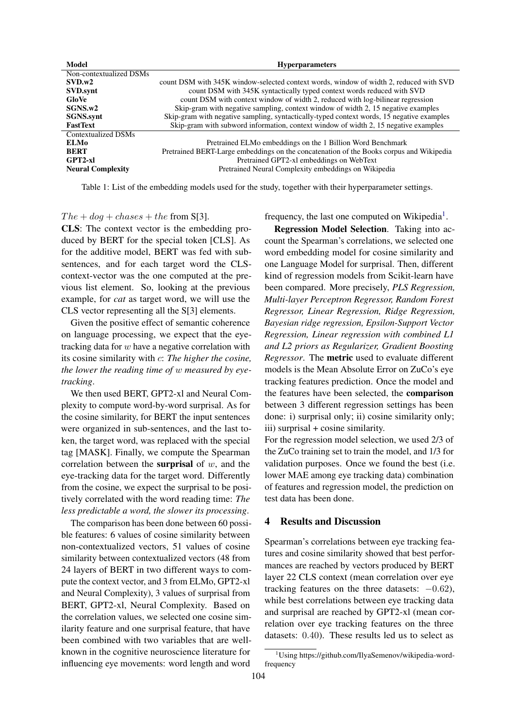<span id="page-2-0"></span>

| Model                      | <b>Hyperparameters</b>                                                                    |  |  |
|----------------------------|-------------------------------------------------------------------------------------------|--|--|
| Non-contextualized DSMs    |                                                                                           |  |  |
| SVD.w2                     | count DSM with 345K window-selected context words, window of width 2, reduced with SVD    |  |  |
| SVD.synt                   | count DSM with 345K syntactically typed context words reduced with SVD                    |  |  |
| GloVe                      | count DSM with context window of width 2, reduced with log-bilinear regression            |  |  |
| SGNS.w2                    | Skip-gram with negative sampling, context window of width 2, 15 negative examples         |  |  |
| <b>SGNS</b> .synt          | Skip-gram with negative sampling, syntactically-typed context words, 15 negative examples |  |  |
| <b>FastText</b>            | Skip-gram with subword information, context window of width 2, 15 negative examples       |  |  |
| <b>Contextualized DSMs</b> |                                                                                           |  |  |
| ELM0                       | Pretrained ELMo embeddings on the 1 Billion Word Benchmark                                |  |  |
| <b>BERT</b>                | Pretrained BERT-Large embeddings on the concatenation of the Books corpus and Wikipedia   |  |  |
| $GPT2-xl$                  | Pretrained GPT2-xl embeddings on WebText                                                  |  |  |
| <b>Neural Complexity</b>   | Pretrained Neural Complexity embeddings on Wikipedia                                      |  |  |

Table 1: List of the embedding models used for the study, together with their hyperparameter settings.

#### $The + dog + classes + the from S[3].$

CLS: The context vector is the embedding produced by BERT for the special token [CLS]. As for the additive model, BERT was fed with subsentences, and for each target word the CLScontext-vector was the one computed at the previous list element. So, looking at the previous example, for *cat* as target word, we will use the CLS vector representing all the S[3] elements.

Given the positive effect of semantic coherence on language processing, we expect that the eyetracking data for  $w$  have a negative correlation with its cosine similarity with c: *The higher the cosine, the lower the reading time of* w *measured by eyetracking*.

We then used BERT, GPT2-xl and Neural Complexity to compute word-by-word surprisal. As for the cosine similarity, for BERT the input sentences were organized in sub-sentences, and the last token, the target word, was replaced with the special tag [MASK]. Finally, we compute the Spearman correlation between the **surprisal** of  $w$ , and the eye-tracking data for the target word. Differently from the cosine, we expect the surprisal to be positively correlated with the word reading time: *The less predictable a word, the slower its processing*.

The comparison has been done between 60 possible features: 6 values of cosine similarity between non-contextualized vectors, 51 values of cosine similarity between contextualized vectors (48 from 24 layers of BERT in two different ways to compute the context vector, and 3 from ELMo, GPT2-xl and Neural Complexity), 3 values of surprisal from BERT, GPT2-xl, Neural Complexity. Based on the correlation values, we selected one cosine similarity feature and one surprisal feature, that have been combined with two variables that are wellknown in the cognitive neuroscience literature for influencing eye movements: word length and word

frequency, the last one computed on Wikipedia<sup>[1](#page-2-1)</sup>.

Regression Model Selection. Taking into account the Spearman's correlations, we selected one word embedding model for cosine similarity and one Language Model for surprisal. Then, different kind of regression models from Scikit-learn have been compared. More precisely, *PLS Regression, Multi-layer Perceptron Regressor, Random Forest Regressor, Linear Regression, Ridge Regression, Bayesian ridge regression, Epsilon-Support Vector Regression, Linear regression with combined L1 and L2 priors as Regularizer, Gradient Boosting Regressor*. The metric used to evaluate different models is the Mean Absolute Error on ZuCo's eye tracking features prediction. Once the model and the features have been selected, the comparison between 3 different regression settings has been done: i) surprisal only; ii) cosine similarity only; iii) surprisal + cosine similarity.

For the regression model selection, we used 2/3 of the ZuCo training set to train the model, and 1/3 for validation purposes. Once we found the best (i.e. lower MAE among eye tracking data) combination of features and regression model, the prediction on test data has been done.

## 4 Results and Discussion

Spearman's correlations between eye tracking features and cosine similarity showed that best performances are reached by vectors produced by BERT layer 22 CLS context (mean correlation over eye tracking features on the three datasets:  $-0.62$ ), while best correlations between eye tracking data and surprisal are reached by GPT2-xl (mean correlation over eye tracking features on the three datasets: 0.40). These results led us to select as

<span id="page-2-1"></span><sup>&</sup>lt;sup>1</sup>Using https://github.com/IlyaSemenov/wikipedia-wordfrequency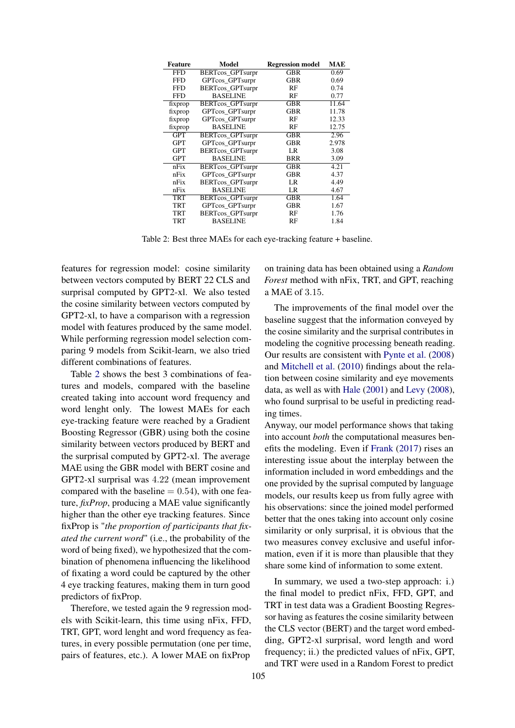<span id="page-3-0"></span>

| <b>Feature</b> | Model                   | <b>Regression model</b> | MAE   |
|----------------|-------------------------|-------------------------|-------|
| <b>FFD</b>     | <b>BERTcos GPTsurpr</b> | GBR                     | 0.69  |
| <b>FFD</b>     | GPTcos_GPTsurpr         | GBR                     | 0.69  |
| <b>FFD</b>     | BERTcos_GPTsurpr        | RF                      | 0.74  |
| <b>FFD</b>     | <b>BASELINE</b>         | RF                      | 0.77  |
| fixprop        | BERTcos_GPTsurpr        | GBR                     | 11.64 |
| fixprop        | GPTcos_GPTsurpr         | GBR                     | 11.78 |
| fixprop        | GPTcos_GPTsurpr         | RF                      | 12.33 |
| fixprop        | <b>BASELINE</b>         | RF                      | 12.75 |
| <b>GPT</b>     | <b>BERTcos_GPTsurpr</b> | GBR                     | 2.96  |
| GPT            | GPTcos GPTsurpr         | GBR                     | 2.978 |
| GPT            | BERTcos_GPTsurpr        | LR                      | 3.08  |
| GPT            | <b>BASELINE</b>         | <b>BRR</b>              | 3.09  |
| nFix           | <b>BERTcos_GPTsurpr</b> | $\overline{\text{GBR}}$ | 4.21  |
| nFix           | GPTcos GPTsurpr         | GBR                     | 4.37  |
| nFix           | BERTcos_GPTsurpr        | LR                      | 4.49  |
| nFix           | <b>BASELINE</b>         | LR                      | 4.67  |
| <b>TRT</b>     | <b>BERTcos_GPTsurpr</b> | GBR                     | 1.64  |
| TRT            | GPTcos GPTsurpr         | GBR                     | 1.67  |
| TRT            | BERTcos_GPTsurpr        | RF                      | 1.76  |
| TRT            | <b>BASELINE</b>         | RF                      | 1.84  |
|                |                         |                         |       |

Table 2: Best three MAEs for each eye-tracking feature + baseline.

features for regression model: cosine similarity between vectors computed by BERT 22 CLS and surprisal computed by GPT2-xl. We also tested the cosine similarity between vectors computed by GPT2-xl, to have a comparison with a regression model with features produced by the same model. While performing regression model selection comparing 9 models from Scikit-learn, we also tried different combinations of features.

Table [2](#page-3-0) shows the best 3 combinations of features and models, compared with the baseline created taking into account word frequency and word lenght only. The lowest MAEs for each eye-tracking feature were reached by a Gradient Boosting Regressor (GBR) using both the cosine similarity between vectors produced by BERT and the surprisal computed by GPT2-xl. The average MAE using the GBR model with BERT cosine and GPT2-xl surprisal was 4.22 (mean improvement compared with the baseline  $= 0.54$ ), with one feature, *fixProp*, producing a MAE value significantly higher than the other eye tracking features. Since fixProp is "*the proportion of participants that fixated the current word*" (i.e., the probability of the word of being fixed), we hypothesized that the combination of phenomena influencing the likelihood of fixating a word could be captured by the other 4 eye tracking features, making them in turn good predictors of fixProp.

Therefore, we tested again the 9 regression models with Scikit-learn, this time using nFix, FFD, TRT, GPT, word lenght and word frequency as features, in every possible permutation (one per time, pairs of features, etc.). A lower MAE on fixProp

on training data has been obtained using a *Random Forest* method with nFix, TRT, and GPT, reaching a MAE of 3.15.

The improvements of the final model over the baseline suggest that the information conveyed by the cosine similarity and the surprisal contributes in modeling the cognitive processing beneath reading. Our results are consistent with [Pynte et al.](#page-5-0) [\(2008\)](#page-5-0) and [Mitchell et al.](#page-4-4) [\(2010\)](#page-4-4) findings about the relation between cosine similarity and eye movements data, as well as with [Hale](#page-4-6) [\(2001\)](#page-4-6) and [Levy](#page-4-7) [\(2008\)](#page-4-7), who found surprisal to be useful in predicting reading times.

Anyway, our model performance shows that taking into account *both* the computational measures benefits the modeling. Even if [Frank](#page-4-9) [\(2017\)](#page-4-9) rises an interesting issue about the interplay between the information included in word embeddings and the one provided by the suprisal computed by language models, our results keep us from fully agree with his observations: since the joined model performed better that the ones taking into account only cosine similarity or only surprisal, it is obvious that the two measures convey exclusive and useful information, even if it is more than plausible that they share some kind of information to some extent.

In summary, we used a two-step approach: i.) the final model to predict nFix, FFD, GPT, and TRT in test data was a Gradient Boosting Regressor having as features the cosine similarity between the CLS vector (BERT) and the target word embedding, GPT2-xl surprisal, word length and word frequency; ii.) the predicted values of nFix, GPT, and TRT were used in a Random Forest to predict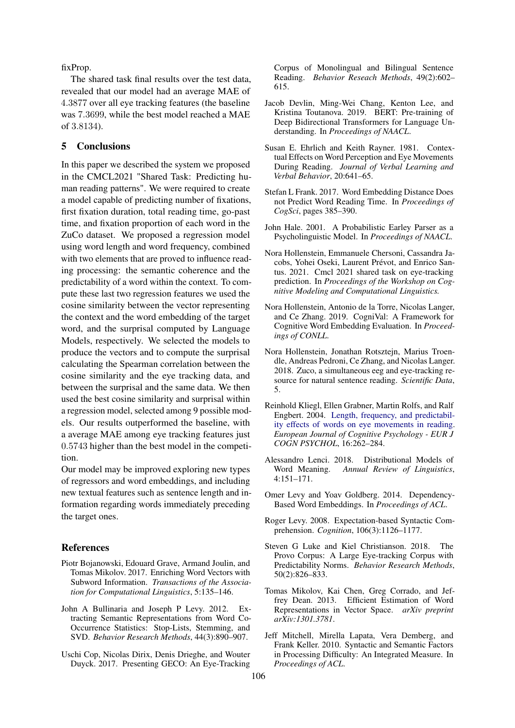fixProp.

The shared task final results over the test data, revealed that our model had an average MAE of 4.3877 over all eye tracking features (the baseline was 7.3699, while the best model reached a MAE of 3.8134).

# 5 Conclusions

In this paper we described the system we proposed in the CMCL2021 "Shared Task: Predicting human reading patterns". We were required to create a model capable of predicting number of fixations, first fixation duration, total reading time, go-past time, and fixation proportion of each word in the ZuCo dataset. We proposed a regression model using word length and word frequency, combined with two elements that are proved to influence reading processing: the semantic coherence and the predictability of a word within the context. To compute these last two regression features we used the cosine similarity between the vector representing the context and the word embedding of the target word, and the surprisal computed by Language Models, respectively. We selected the models to produce the vectors and to compute the surprisal calculating the Spearman correlation between the cosine similarity and the eye tracking data, and between the surprisal and the same data. We then used the best cosine similarity and surprisal within a regression model, selected among 9 possible models. Our results outperformed the baseline, with a average MAE among eye tracking features just 0.5743 higher than the best model in the competition.

Our model may be improved exploring new types of regressors and word embeddings, and including new textual features such as sentence length and information regarding words immediately preceding the target ones.

## References

- <span id="page-4-14"></span>Piotr Bojanowski, Edouard Grave, Armand Joulin, and Tomas Mikolov. 2017. Enriching Word Vectors with Subword Information. *Transactions of the Association for Computational Linguistics*, 5:135–146.
- <span id="page-4-15"></span>John A Bullinaria and Joseph P Levy. 2012. Extracting Semantic Representations from Word Co-Occurrence Statistics: Stop-Lists, Stemming, and SVD. *Behavior Research Methods*, 44(3):890–907.
- <span id="page-4-10"></span>Uschi Cop, Nicolas Dirix, Denis Drieghe, and Wouter Duyck. 2017. Presenting GECO: An Eye-Tracking

Corpus of Monolingual and Bilingual Sentence Reading. *Behavior Reseach Methods*, 49(2):602– 615.

- <span id="page-4-16"></span>Jacob Devlin, Ming-Wei Chang, Kenton Lee, and Kristina Toutanova. 2019. BERT: Pre-training of Deep Bidirectional Transformers for Language Understanding. In *Proceedings of NAACL*.
- <span id="page-4-2"></span>Susan E. Ehrlich and Keith Rayner. 1981. Contextual Effects on Word Perception and Eye Movements During Reading. *Journal of Verbal Learning and Verbal Behavior*, 20:641–65.
- <span id="page-4-9"></span>Stefan L Frank. 2017. Word Embedding Distance Does not Predict Word Reading Time. In *Proceedings of CogSci*, pages 385–390.
- <span id="page-4-6"></span>John Hale. 2001. A Probabilistic Earley Parser as a Psycholinguistic Model. In *Proceedings of NAACL*.
- <span id="page-4-0"></span>Nora Hollenstein, Emmanuele Chersoni, Cassandra Jacobs, Yohei Oseki, Laurent Prévot, and Enrico Santus. 2021. Cmcl 2021 shared task on eye-tracking prediction. In *Proceedings of the Workshop on Cognitive Modeling and Computational Linguistics.*
- <span id="page-4-8"></span>Nora Hollenstein, Antonio de la Torre, Nicolas Langer, and Ce Zhang. 2019. CogniVal: A Framework for Cognitive Word Embedding Evaluation. In *Proceedings of CONLL*.
- <span id="page-4-1"></span>Nora Hollenstein, Jonathan Rotsztejn, Marius Troendle, Andreas Pedroni, Ce Zhang, and Nicolas Langer. 2018. Zuco, a simultaneous eeg and eye-tracking resource for natural sentence reading. *Scientific Data*, 5.
- <span id="page-4-3"></span>Reinhold Kliegl, Ellen Grabner, Martin Rolfs, and Ralf Engbert. 2004. [Length, frequency, and predictabil](https://doi.org/10.1080/09541440340000213)[ity effects of words on eye movements in reading.](https://doi.org/10.1080/09541440340000213) *European Journal of Cognitive Psychology - EUR J COGN PSYCHOL*, 16:262–284.
- <span id="page-4-5"></span>Alessandro Lenci. 2018. Distributional Models of Word Meaning. *Annual Review of Linguistics*, 4:151–171.
- <span id="page-4-13"></span>Omer Levy and Yoav Goldberg. 2014. Dependency-Based Word Embeddings. In *Proceedings of ACL*.
- <span id="page-4-7"></span>Roger Levy. 2008. Expectation-based Syntactic Comprehension. *Cognition*, 106(3):1126–1177.
- <span id="page-4-11"></span>Steven G Luke and Kiel Christianson. 2018. The Provo Corpus: A Large Eye-tracking Corpus with Predictability Norms. *Behavior Research Methods*, 50(2):826–833.
- <span id="page-4-12"></span>Tomas Mikolov, Kai Chen, Greg Corrado, and Jeffrey Dean. 2013. Efficient Estimation of Word Representations in Vector Space. *arXiv preprint arXiv:1301.3781*.
- <span id="page-4-4"></span>Jeff Mitchell, Mirella Lapata, Vera Demberg, and Frank Keller. 2010. Syntactic and Semantic Factors in Processing Difficulty: An Integrated Measure. In *Proceedings of ACL*.